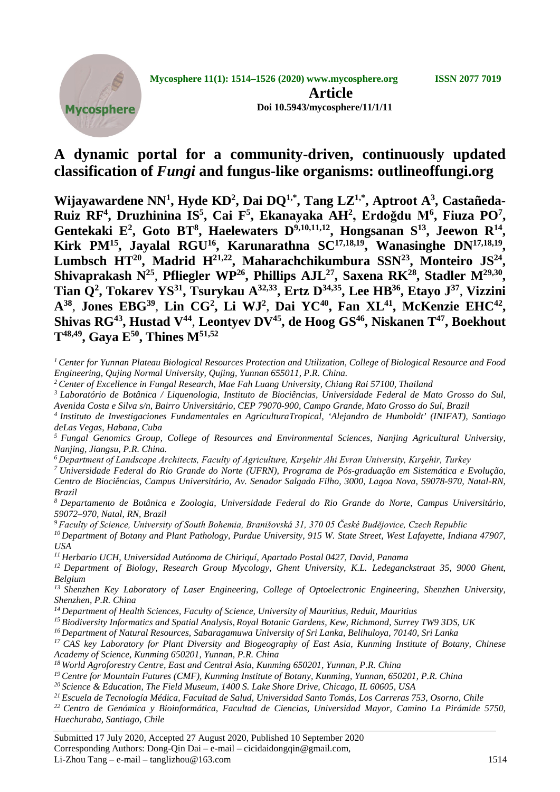

## **A dynamic portal for a community-driven, continuously updated classification of** *Fungi* **and fungus-like organisms: outlineoffungi.org**

**Wijayawardene NN1 , Hyde KD2 , Dai DQ1,\* , Tang LZ1,\* , Aptroot A3 , Castañeda-Ruiz RF<sup>4</sup>, Druzhinina IS<sup>5</sup>, Cai F<sup>5</sup>, Ekanayaka AH<sup>2</sup>, Erdoğdu M<sup>6</sup>, Fiuza PO<sup>7</sup>,** Gentekaki E<sup>2</sup>, Goto BT<sup>8</sup>, Haelewaters D<sup>9,10,11,12</sup>, Hongsanan S<sup>13</sup>, Jeewon R<sup>14</sup>, Kirk PM<sup>15</sup>, Jayalal RGU<sup>16</sup>, Karunarathna SC<sup>17,18,19</sup>, Wanasinghe DN<sup>17,18,19</sup>, **Lumbsch HT20, Madrid H21,22 , Maharachchikumbura SSN23 , Monteiro JS24 ,** Shivaprakash N<sup>25</sup>, Pfliegler WP<sup>26</sup>, Phillips AJL<sup>27</sup>, Saxena RK<sup>28</sup>, Stadler M<sup>29,30</sup>, **Tian Q2 , Tokarev YS31, Tsurykau A32,33, Ertz D34,35, Lee HB36, Etayo J37**, **Vizzini**  A<sup>38</sup>, Jones EBG<sup>39</sup>, Lin CG<sup>2</sup>, Li WJ<sup>2</sup>, Dai YC<sup>40</sup>, Fan XL<sup>41</sup>, McKenzie EHC<sup>42</sup>, Shivas RG<sup>43</sup>, Hustad V<sup>44</sup>, Leontyev DV<sup>45</sup>, de Hoog GS<sup>46</sup>, Niskanen T<sup>47</sup>, Boekhout **T48,49, Gaya E50, Thines M51,52**

- *<sup>1</sup> Center for Yunnan Plateau Biological Resources Protection and Utilization, College of Biological Resource and Food Engineering, Qujing Normal University, Qujing, Yunnan 655011, P.R. China.*
- *<sup>2</sup> Center of Excellence in Fungal Research, Mae Fah Luang University, Chiang Rai 57100, Thailand*
- *<sup>3</sup> Laboratório de Botânica / Liquenologia, Instituto de Biociências, Universidade Federal de Mato Grosso do Sul, Avenida Costa e Silva s/n, Bairro Universitário, CEP 79070-900, Campo Grande, Mato Grosso do Sul, Brazil*
- *<sup>4</sup> Instituto de Investigaciones Fundamentales en AgriculturaTropical, 'Alejandro de Humboldt' (INIFAT), Santiago deLas Vegas, Habana, Cuba*

*<sup>5</sup> Fungal Genomics Group, College of Resources and Environmental Sciences, Nanjing Agricultural University, Nanjing, Jiangsu, P.R. China.*

*<sup>6</sup> Department of Landscape Architects, Faculty of Agriculture, Kırşehir Ahi Evran University, Kırşehir, Turkey*

*<sup>7</sup> Universidade Federal do Rio Grande do Norte (UFRN), Programa de Pós-graduação em Sistemática e Evolução, Centro de Biociências, Campus Universitário, Av. Senador Salgado Filho, 3000, Lagoa Nova, 59078-970, Natal-RN, Brazil*

*<sup>8</sup> Departamento de Botânica e Zoologia, Universidade Federal do Rio Grande do Norte, Campus Universitário, 59072–970, Natal, RN, Brazil*

*<sup>9</sup> Faculty of Science, University of South Bohemia, Branišovská 31, 370 05 České Budějovice, Czech Republic*

*<sup>10</sup> Department of Botany and Plant Pathology, Purdue University, 915 W. State Street, West Lafayette, Indiana 47907, USA*

*<sup>11</sup> Herbario UCH, Universidad Autónoma de Chiriquí, Apartado Postal 0427, David, Panama*

*<sup>12</sup> Department of Biology, Research Group Mycology, Ghent University, K.L. Ledeganckstraat 35, 9000 Ghent, Belgium*

*<sup>13</sup> Shenzhen Key Laboratory of Laser Engineering, College of Optoelectronic Engineering, Shenzhen University, Shenzhen, P.R. China*

*<sup>14</sup> Department of Health Sciences, Faculty of Science, University of Mauritius, Reduit, Mauritius*

*<sup>15</sup> Biodiversity Informatics and Spatial Analysis, Royal Botanic Gardens, Kew, Richmond, Surrey TW9 3DS, UK*

*<sup>16</sup> Department of Natural Resources, Sabaragamuwa University of Sri Lanka, Belihuloya, 70140, Sri Lanka*

*<sup>17</sup> CAS key Laboratory for Plant Diversity and Biogeography of East Asia, Kunming Institute of Botany, Chinese Academy of Science, Kunming 650201, Yunnan, P.R. China 18 World Agroforestry Centre, East and Central Asia, Kunming 650201, Yunnan, P.R. China*

- *<sup>19</sup> Centre for Mountain Futures (CMF), Kunming Institute of Botany, Kunming, Yunnan, 650201, P.R. China*
- *<sup>20</sup> Science & Education, The Field Museum, 1400 S. Lake Shore Drive, Chicago, IL 60605, USA*

*<sup>21</sup> Escuela de Tecnología Médica, Facultad de Salud, Universidad Santo Tomás, Los Carreras 753, Osorno, Chile*

*<sup>22</sup> Centro de Genómica y Bioinformática, Facultad de Ciencias, Universidad Mayor, Camino La Pirámide 5750, Huechuraba, Santiago, Chile*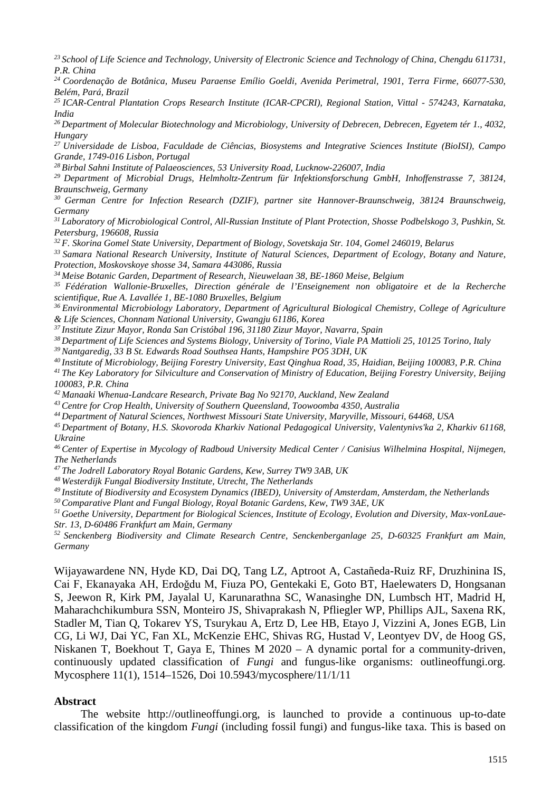*<sup>23</sup> School of Life Science and Technology, University of Electronic Science and Technology of China, Chengdu 611731, P.R. China*

*<sup>24</sup> Coordenação de Botânica, Museu Paraense Emílio Goeldi, Avenida Perimetral, 1901, Terra Firme, 66077-530, Belém, Pará, Brazil*

*<sup>25</sup> ICAR-Central Plantation Crops Research Institute (ICAR-CPCRI), Regional Station, Vittal - 574243, Karnataka, India*

*<sup>26</sup> Department of Molecular Biotechnology and Microbiology, University of Debrecen, Debrecen, Egyetem tér 1., 4032, Hungary*

*<sup>27</sup> Universidade de Lisboa, Faculdade de Ciências, Biosystems and Integrative Sciences Institute (BioISI), Campo Grande, 1749-016 Lisbon, Portugal*

*<sup>28</sup> Birbal Sahni Institute of Palaeosciences, 53 University Road, Lucknow-226007, India*

*<sup>29</sup> Department of Microbial Drugs, Helmholtz-Zentrum für Infektionsforschung GmbH, Inhoffenstrasse 7, 38124, Braunschweig, Germany*

*<sup>30</sup> German Centre for Infection Research (DZIF), partner site Hannover-Braunschweig, 38124 Braunschweig, Germany*

*<sup>31</sup> Laboratory of Microbiological Control, All-Russian Institute of Plant Protection, Shosse Podbelskogo 3, Pushkin, St. Petersburg, 196608, Russia*

*<sup>32</sup> F. Skorina Gomel State University, Department of Biology, Sovetskaja Str. 104, Gomel 246019, Belarus*

*<sup>33</sup> Samara National Research University, Institute of Natural Sciences, Department of Ecology, Botany and Nature, Protection, Moskovskoye shosse 34, Samara 443086, Russia*

*<sup>34</sup> Meise Botanic Garden, Department of Research, Nieuwelaan 38, BE-1860 Meise, Belgium*

*<sup>35</sup> Fédération Wallonie-Bruxelles, Direction générale de l'Enseignement non obligatoire et de la Recherche scientifique, Rue A. Lavallée 1, BE-1080 Bruxelles, Belgium*

*<sup>36</sup> Environmental Microbiology Laboratory, Department of Agricultural Biological Chemistry, College of Agriculture & Life Sciences, Chonnam National University, Gwangju 61186, Korea*

*<sup>37</sup> Institute Zizur Mayor, Ronda San Cristóbal 196, 31180 Zizur Mayor, Navarra, Spain*

*<sup>38</sup> Department of Life Sciences and Systems Biology, University of Torino, Viale PA Mattioli 25, 10125 Torino, Italy*

*<sup>39</sup> Nantgaredig, 33 B St. Edwards Road Southsea Hants, Hampshire PO5 3DH, UK*

*<sup>40</sup> Institute of Microbiology, Beijing Forestry University, East Qinghua Road, 35, Haidian, Beijing 100083, P.R. China*

*<sup>41</sup> The Key Laboratory for Silviculture and Conservation of Ministry of Education, Beijing Forestry University, Beijing 100083, P.R. China*

*<sup>42</sup> Manaaki Whenua-Landcare Research, Private Bag No 92170, Auckland, New Zealand*

*<sup>43</sup> Centre for Crop Health, University of Southern Queensland, Toowoomba 4350, Australia*

*<sup>44</sup> Department of Natural Sciences, Northwest Missouri State University, Maryville, Missouri, 64468, USA*

*<sup>45</sup> Department of Botany, H.S. Skovoroda Kharkiv National Pedagogical University, Valentynivs'ka 2, Kharkiv 61168, Ukraine*

*<sup>46</sup> Center of Expertise in Mycology of Radboud University Medical Center / Canisius Wilhelmina Hospital, Nijmegen, The Netherlands*

*<sup>47</sup> The Jodrell Laboratory Royal Botanic Gardens, Kew, Surrey TW9 3AB, UK*

*<sup>48</sup> Westerdijk Fungal Biodiversity Institute, Utrecht, The Netherlands*

*<sup>49</sup> Institute of Biodiversity and Ecosystem Dynamics (IBED), University of Amsterdam, Amsterdam, the Netherlands*

*<sup>50</sup> Comparative Plant and Fungal Biology, Royal Botanic Gardens, Kew, TW9 3AE, UK*

*<sup>51</sup> Goethe University, Department for Biological Sciences, Institute of Ecology, Evolution and Diversity, Max-vonLaue-Str. 13, D-60486 Frankfurt am Main, Germany*

*<sup>52</sup> Senckenberg Biodiversity and Climate Research Centre, Senckenberganlage 25, D-60325 Frankfurt am Main, Germany*

Wijayawardene NN, Hyde KD, Dai DQ, Tang LZ, Aptroot A, Castañeda-Ruiz RF, Druzhinina IS, Cai F, Ekanayaka AH, Erdoğdu M, Fiuza PO, Gentekaki E, Goto BT, Haelewaters D, Hongsanan S, Jeewon R, Kirk PM, Jayalal U, Karunarathna SC, Wanasinghe DN, Lumbsch HT, Madrid H, Maharachchikumbura SSN, Monteiro JS, Shivaprakash N, Pfliegler WP, Phillips AJL, Saxena RK, Stadler M, Tian Q, Tokarev YS, Tsurykau A, Ertz D, Lee HB, Etayo J, Vizzini A, Jones EGB, Lin CG, Li WJ, Dai YC, Fan XL, McKenzie EHC, Shivas RG, Hustad V, Leontyev DV, de Hoog GS, Niskanen T, Boekhout T, Gaya E, Thines M 2020 – A dynamic portal for a community-driven, continuously updated classification of *Fungi* and fungus-like organisms: outlineoffungi.org. Mycosphere 11(1), 1514–1526, Doi 10.5943/mycosphere/11/1/11

#### **Abstract**

The website http://outlineoffungi.org, is launched to provide a continuous up-to-date classification of the kingdom *Fungi* (including fossil fungi) and fungus-like taxa. This is based on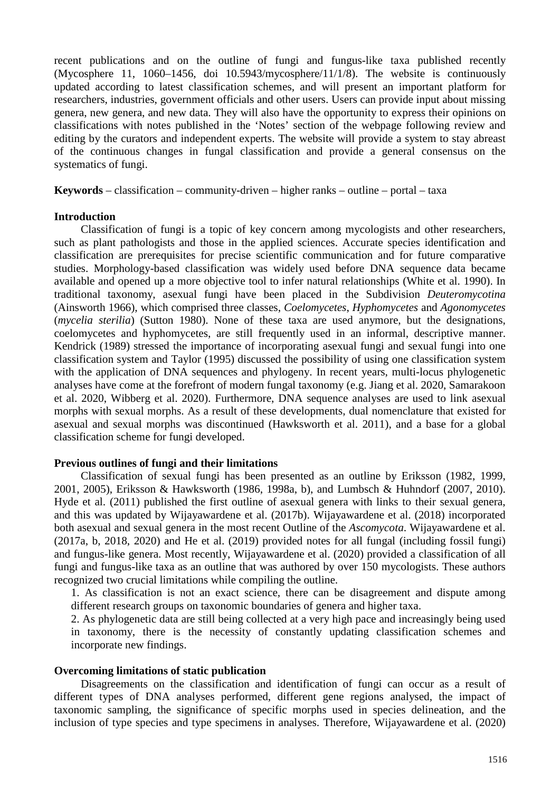recent publications and on the outline of fungi and fungus-like taxa published recently (Mycosphere 11, 1060–1456, doi 10.5943/mycosphere/11/1/8). The website is continuously updated according to latest classification schemes, and will present an important platform for researchers, industries, government officials and other users. Users can provide input about missing genera, new genera, and new data. They will also have the opportunity to express their opinions on classifications with notes published in the 'Notes' section of the webpage following review and editing by the curators and independent experts. The website will provide a system to stay abreast of the continuous changes in fungal classification and provide a general consensus on the systematics of fungi.

**Keywords** – classification – community-driven – higher ranks – outline – portal – taxa

## **Introduction**

Classification of fungi is a topic of key concern among mycologists and other researchers, such as plant pathologists and those in the applied sciences. Accurate species identification and classification are prerequisites for precise scientific communication and for future comparative studies. Morphology-based classification was widely used before DNA sequence data became available and opened up a more objective tool to infer natural relationships (White et al. 1990). In traditional taxonomy, asexual fungi have been placed in the Subdivision *Deuteromycotina* (Ainsworth 1966), which comprised three classes, *Coelomycetes*, *Hyphomycetes* and *Agonomycetes* (*mycelia sterilia*) (Sutton 1980). None of these taxa are used anymore, but the designations, coelomycetes and hyphomycetes, are still frequently used in an informal, descriptive manner. Kendrick (1989) stressed the importance of incorporating asexual fungi and sexual fungi into one classification system and Taylor (1995) discussed the possibility of using one classification system with the application of DNA sequences and phylogeny. In recent years, multi-locus phylogenetic analyses have come at the forefront of modern fungal taxonomy (e.g. Jiang et al. 2020, Samarakoon et al. 2020, Wibberg et al. 2020). Furthermore, DNA sequence analyses are used to link asexual morphs with sexual morphs. As a result of these developments, dual nomenclature that existed for asexual and sexual morphs was discontinued (Hawksworth et al. 2011), and a base for a global classification scheme for fungi developed.

## **Previous outlines of fungi and their limitations**

Classification of sexual fungi has been presented as an outline by Eriksson (1982, 1999, 2001, 2005), Eriksson & Hawksworth (1986, 1998a, b), and Lumbsch & Huhndorf (2007, 2010). Hyde et al. (2011) published the first outline of asexual genera with links to their sexual genera, and this was updated by Wijayawardene et al. (2017b). Wijayawardene et al. (2018) incorporated both asexual and sexual genera in the most recent Outline of the *Ascomycota*. Wijayawardene et al. (2017a, b, 2018, 2020) and He et al. (2019) provided notes for all fungal (including fossil fungi) and fungus-like genera. Most recently, Wijayawardene et al. (2020) provided a classification of all fungi and fungus-like taxa as an outline that was authored by over 150 mycologists. These authors recognized two crucial limitations while compiling the outline.

1. As classification is not an exact science, there can be disagreement and dispute among different research groups on taxonomic boundaries of genera and higher taxa.

2. As phylogenetic data are still being collected at a very high pace and increasingly being used in taxonomy, there is the necessity of constantly updating classification schemes and incorporate new findings.

#### **Overcoming limitations of static publication**

Disagreements on the classification and identification of fungi can occur as a result of different types of DNA analyses performed, different gene regions analysed, the impact of taxonomic sampling, the significance of specific morphs used in species delineation, and the inclusion of type species and type specimens in analyses. Therefore, Wijayawardene et al. (2020)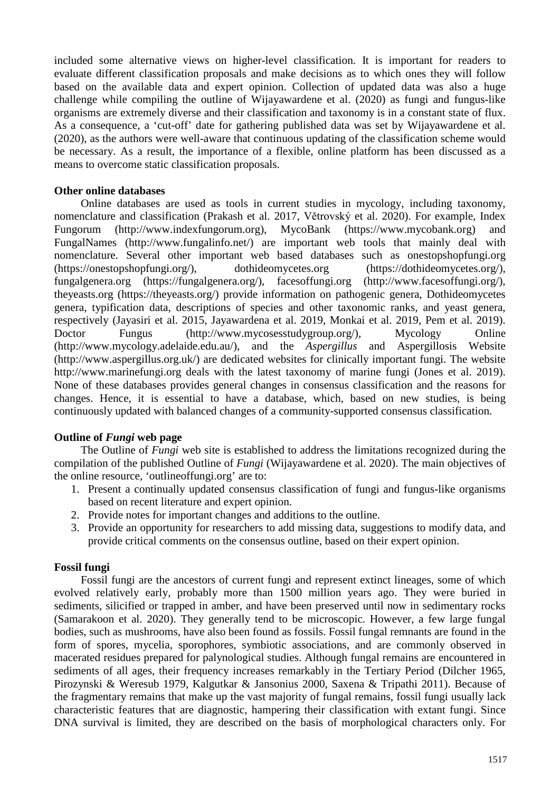included some alternative views on higher-level classification. It is important for readers to evaluate different classification proposals and make decisions as to which ones they will follow based on the available data and expert opinion. Collection of updated data was also a huge challenge while compiling the outline of Wijayawardene et al. (2020) as fungi and fungus-like organisms are extremely diverse and their classification and taxonomy is in a constant state of flux. As a consequence, a 'cut-off' date for gathering published data was set by Wijayawardene et al. (2020), as the authors were well-aware that continuous updating of the classification scheme would be necessary. As a result, the importance of a flexible, online platform has been discussed as a means to overcome static classification proposals.

## **Other online databases**

Online databases are used as tools in current studies in mycology, including taxonomy, nomenclature and classification (Prakash et al. 2017, Větrovský et al. 2020). For example, Index Fungorum (http://www.indexfungorum.org), MycoBank (https://www.mycobank.org) and FungalNames (http://www.fungalinfo.net/) are important web tools that mainly deal with nomenclature. Several other important web based databases such as onestopshopfungi.org (https://onestopshopfungi.org/), dothideomycetes.org (https://dothideomycetes.org/), fungalgenera.org (https://fungalgenera.org/), facesoffungi.org (http://www.facesoffungi.org/), theyeasts.org (https://theyeasts.org/) provide information on pathogenic genera, Dothideomycetes genera, typification data, descriptions of species and other taxonomic ranks, and yeast genera, respectively (Jayasiri et al. 2015, Jayawardena et al. 2019, Monkai et al. 2019, Pem et al. 2019). Doctor Fungus (http://www.mycosesstudygroup.org/), Mycology Online (http://www.mycology.adelaide.edu.au/), and the *Aspergillus* and Aspergillosis Website (http://www.aspergillus.org.uk/) are dedicated websites for clinically important fungi. The website http://www.marinefungi.org deals with the latest taxonomy of marine fungi (Jones et al. 2019). None of these databases provides general changes in consensus classification and the reasons for changes. Hence, it is essential to have a database, which, based on new studies, is being continuously updated with balanced changes of a community-supported consensus classification.

## **Outline of** *Fungi* **web page**

The Outline of *Fungi* web site is established to address the limitations recognized during the compilation of the published Outline of *Fungi* (Wijayawardene et al. 2020). The main objectives of the online resource, 'outlineoffungi.org' are to:

- 1. Present a continually updated consensus classification of fungi and fungus-like organisms based on recent literature and expert opinion.
- 2. Provide notes for important changes and additions to the outline.
- 3. Provide an opportunity for researchers to add missing data, suggestions to modify data, and provide critical comments on the consensus outline, based on their expert opinion.

## **Fossil fungi**

Fossil fungi are the ancestors of current fungi and represent extinct lineages, some of which evolved relatively early, probably more than 1500 million years ago. They were buried in sediments, silicified or trapped in amber, and have been preserved until now in sedimentary rocks (Samarakoon et al. 2020). They generally tend to be microscopic. However, a few large fungal bodies, such as mushrooms, have also been found as fossils. Fossil fungal remnants are found in the form of spores, mycelia, sporophores, symbiotic associations, and are commonly observed in macerated residues prepared for palynological studies. Although fungal remains are encountered in sediments of all ages, their frequency increases remarkably in the Tertiary Period (Dilcher 1965, Pirozynski & Weresub 1979, Kalgutkar & Jansonius 2000, Saxena & Tripathi 2011). Because of the fragmentary remains that make up the vast majority of fungal remains, fossil fungi usually lack characteristic features that are diagnostic, hampering their classification with extant fungi. Since DNA survival is limited, they are described on the basis of morphological characters only. For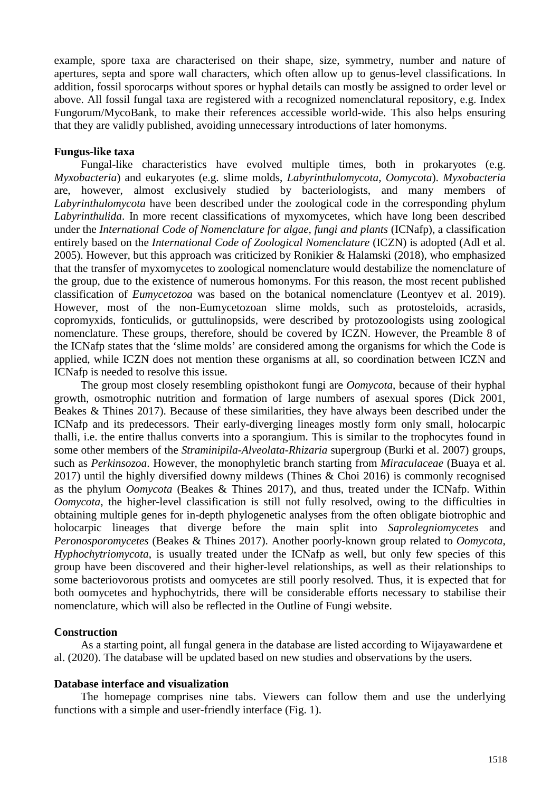example, spore taxa are characterised on their shape, size, symmetry, number and nature of apertures, septa and spore wall characters, which often allow up to genus-level classifications. In addition, fossil sporocarps without spores or hyphal details can mostly be assigned to order level or above. All fossil fungal taxa are registered with a recognized nomenclatural repository, e.g. Index Fungorum/MycoBank, to make their references accessible world-wide. This also helps ensuring that they are validly published, avoiding unnecessary introductions of later homonyms.

## **Fungus-like taxa**

Fungal-like characteristics have evolved multiple times, both in prokaryotes (e.g. *Myxobacteria*) and eukaryotes (e.g. slime molds, *Labyrinthulomycota*, *Oomycota*). *Myxobacteria* are, however, almost exclusively studied by bacteriologists, and many members of *Labyrinthulomycota* have been described under the zoological code in the corresponding phylum *Labyrinthulida*. In more recent classifications of myxomycetes, which have long been described under the *International Code of Nomenclature for algae, fungi and plants* (ICNafp), a classification entirely based on the *International Code of Zoological Nomenclature* (ICZN) is adopted (Adl et al. 2005). However, but this approach was criticized by Ronikier & Halamski (2018), who emphasized that the transfer of myxomycetes to zoological nomenclature would destabilize the nomenclature of the group, due to the existence of numerous homonyms. For this reason, the most recent published classification of *Eumycetozoa* was based on the botanical nomenclature (Leontyev et al. 2019). However, most of the non-Eumycetozoan slime molds, such as protosteloids, acrasids, copromyxids, fonticulids, or guttulinopsids, were described by protozoologists using zoological nomenclature. These groups, therefore, should be covered by ICZN. However, the Preamble 8 of the ICNafp states that the 'slime molds' are considered among the organisms for which the Code is applied, while ICZN does not mention these organisms at all, so coordination between ICZN and ICNafp is needed to resolve this issue.

The group most closely resembling opisthokont fungi are *Oomycota*, because of their hyphal growth, osmotrophic nutrition and formation of large numbers of asexual spores (Dick 2001, Beakes & Thines 2017). Because of these similarities, they have always been described under the ICNafp and its predecessors. Their early-diverging lineages mostly form only small, holocarpic thalli, i.e. the entire thallus converts into a sporangium. This is similar to the trophocytes found in some other members of the *Straminipila*-*Alveolata*-*Rhizaria* supergroup (Burki et al. 2007) groups, such as *Perkinsozoa*. However, the monophyletic branch starting from *Miraculaceae* (Buaya et al. 2017) until the highly diversified downy mildews (Thines & Choi 2016) is commonly recognised as the phylum *Oomycota* (Beakes & Thines 2017), and thus, treated under the ICNafp. Within *Oomycota*, the higher-level classification is still not fully resolved, owing to the difficulties in obtaining multiple genes for in-depth phylogenetic analyses from the often obligate biotrophic and holocarpic lineages that diverge before the main split into *Saprolegniomycetes* and *Peronosporomycetes* (Beakes & Thines 2017). Another poorly-known group related to *Oomycota*, *Hyphochytriomycota*, is usually treated under the ICNafp as well, but only few species of this group have been discovered and their higher-level relationships, as well as their relationships to some bacteriovorous protists and oomycetes are still poorly resolved. Thus, it is expected that for both oomycetes and hyphochytrids, there will be considerable efforts necessary to stabilise their nomenclature, which will also be reflected in the Outline of Fungi website.

#### **Construction**

As a starting point, all fungal genera in the database are listed according to Wijayawardene et al. (2020). The database will be updated based on new studies and observations by the users.

#### **Database interface and visualization**

The homepage comprises nine tabs. Viewers can follow them and use the underlying functions with a simple and user-friendly interface (Fig. 1).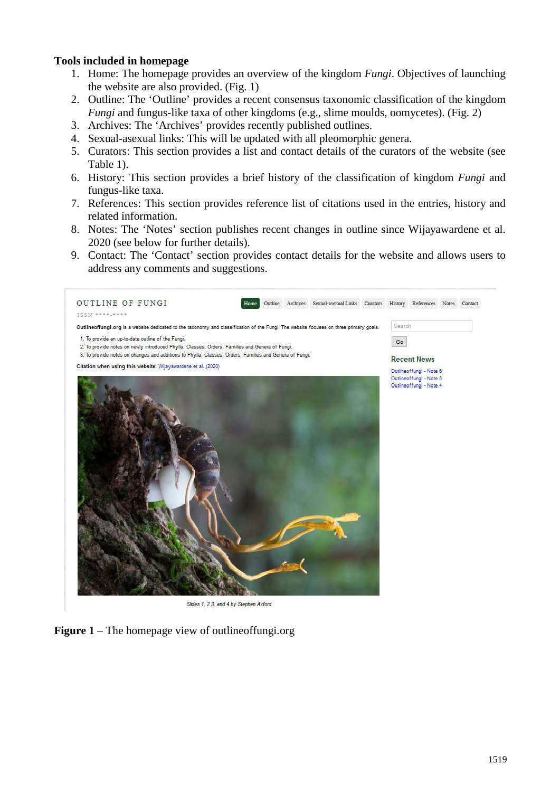## **Tools included in homepage**

- 1. Home: The homepage provides an overview of the kingdom *Fungi*. Objectives of launching the website are also provided. (Fig. 1)
- 2. Outline: The 'Outline' provides a recent consensus taxonomic classification of the kingdom *Fungi* and fungus-like taxa of other kingdoms (e.g., slime moulds, oomycetes). (Fig. 2)
- 3. Archives: The 'Archives' provides recently published outlines.
- 4. Sexual-asexual links: This will be updated with all pleomorphic genera.
- 5. Curators: This section provides a list and contact details of the curators of the website (see Table 1).
- 6. History: This section provides a brief history of the classification of kingdom *Fungi* and fungus-like taxa.
- 7. References: This section provides reference list of citations used in the entries, history and related information.
- 8. Notes: The 'Notes' section publishes recent changes in outline since Wijayawardene et al. 2020 (see below for further details).
- 9. Contact: The 'Contact' section provides contact details for the website and allows users to address any comments and suggestions.



**Figure 1** – The homepage view of outlineoffungi.org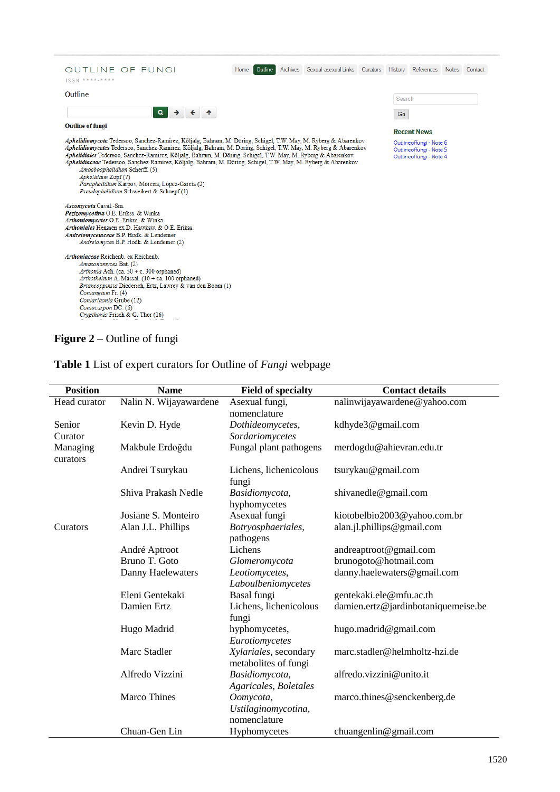| <b>OUTLINE OF FUNGI</b><br>ISSN ****-****                                                                                                                                                                                                                                                                                                                                                                                                                                                                                                                                                                                                                                                                    | Home<br><b>Outline</b> | Archives | Sexual-asexual Links | Curators | History | References         | Notes | Contact |
|--------------------------------------------------------------------------------------------------------------------------------------------------------------------------------------------------------------------------------------------------------------------------------------------------------------------------------------------------------------------------------------------------------------------------------------------------------------------------------------------------------------------------------------------------------------------------------------------------------------------------------------------------------------------------------------------------------------|------------------------|----------|----------------------|----------|---------|--------------------|-------|---------|
| Outline                                                                                                                                                                                                                                                                                                                                                                                                                                                                                                                                                                                                                                                                                                      |                        |          |                      |          | Search  |                    |       |         |
| Q<br>$\rightarrow$                                                                                                                                                                                                                                                                                                                                                                                                                                                                                                                                                                                                                                                                                           |                        |          |                      |          | Go      |                    |       |         |
| <b>Outline of fungi</b>                                                                                                                                                                                                                                                                                                                                                                                                                                                                                                                                                                                                                                                                                      |                        |          |                      |          |         | <b>Recent News</b> |       |         |
| Aphelidiomycota Tedersoo, Sanchez-Ramirez, Kõljalg, Bahram, M. Döring, Schigel, T.W. May, M. Ryberg & Abarenkov<br>Outlineoffungi - Note 6<br>Aphelidiomycetes Tedersoo, Sanchez-Ramirez, Kõljalg, Bahram, M. Döring, Schigel, T.W. May, M. Ryberg & Abarenkov<br>Outlineoffungi - Note 5<br>Aphelidiales Tedersoo, Sanchez-Ramirez, Kõljalg, Bahram, M. Döring, Schigel, T.W. May, M. Ryberg & Abarenkov<br>Outlineoffungi - Note 4<br>Aphelidiaceae Tedersoo, Sanchez-Ramirez, Kõljalg, Bahram, M. Döring, Schigel, T.W. May, M. Ryberg & Abarenkov<br>Amoeboaphelidium Scherff. (5)<br>Aphelidium Zopf (7)<br>Paraphelidium Karpov, Moreira, López-García (2)<br>Pseudaphelidium Schweikert & Schnepf (1) |                        |          |                      |          |         |                    |       |         |
| Ascomycota Caval.-Sm.<br>Pezizomycotina O.E. Erikss. & Winka<br>Arthoniomycetes O.E. Erikss. & Winka<br>Arthoniales Henssen ex D. Hawksw. & O.E. Erikss.<br>Andreiomycetaceae B.P. Hodk. & Lendemer<br>Andreiomyces B.P. Hodk. & Lendemer (2)                                                                                                                                                                                                                                                                                                                                                                                                                                                                |                        |          |                      |          |         |                    |       |         |
| Arthoniaceae Reichenb. ex Reichenb.<br>Amazonomyces Bat. (2)<br>Arthonia Ach. (ca. 50 + c. 300 orphaned)<br>Arthothelium A. Massal. $(10 + ca. 100$ orphaned)<br>Briancoppinsia Diederich, Ertz, Lawrey & van den Boom (1)<br>Coniangium Fr. (4)<br>Contarthonia Grube (12)<br>Coniocarpon DC. (6)<br>Crypthonia Frisch & G. Thor (16)                                                                                                                                                                                                                                                                                                                                                                       |                        |          |                      |          |         |                    |       |         |

# **Figure 2** – Outline of fungi

| <b>Position</b>      | <b>Name</b>            | <b>Field of specialty</b>                     | <b>Contact details</b>              |
|----------------------|------------------------|-----------------------------------------------|-------------------------------------|
| Head curator         | Nalin N. Wijayawardene | Asexual fungi,                                | nalinwijayawardene@yahoo.com        |
|                      |                        | nomenclature                                  |                                     |
| Senior               | Kevin D. Hyde          | Dothideomycetes,                              | kdhyde3@gmail.com                   |
| Curator              |                        | Sordariomycetes                               |                                     |
| Managing<br>curators | Makbule Erdoğdu        | Fungal plant pathogens                        | merdogdu@ahievran.edu.tr            |
|                      | Andrei Tsurykau        | Lichens, lichenicolous<br>fungi               | tsurykau@gmail.com                  |
|                      | Shiva Prakash Nedle    | Basidiomycota,<br>hyphomycetes                | shivanedle@gmail.com                |
|                      | Josiane S. Monteiro    | Asexual fungi                                 | kiotobelbio2003@yahoo.com.br        |
| Curators             | Alan J.L. Phillips     | Botryosphaeriales,<br>pathogens               | alan.jl.phillips@gmail.com          |
|                      | André Aptroot          | Lichens                                       | andreaptroot@gmail.com              |
|                      | Bruno T. Goto          | Glomeromycota                                 | brunogoto@hotmail.com               |
|                      | Danny Haelewaters      | Leotiomycetes,                                | danny.haelewaters@gmail.com         |
|                      |                        | Laboulbeniomycetes                            |                                     |
|                      | Eleni Gentekaki        | Basal fungi                                   | gentekaki.ele@mfu.ac.th             |
|                      | Damien Ertz            | Lichens, lichenicolous<br>fungi               | damien.ertz@jardinbotaniquemeise.be |
|                      | Hugo Madrid            | hyphomycetes,<br>Eurotiomycetes               | hugo.madrid@gmail.com               |
|                      | Marc Stadler           | Xylariales, secondary<br>metabolites of fungi | marc.stadler@helmholtz-hzi.de       |
|                      | Alfredo Vizzini        | Basidiomycota,<br>Agaricales, Boletales       | alfredo.vizzini@unito.it            |
|                      | <b>Marco Thines</b>    | Oomycota,<br>Ustilaginomycotina,              | marco.thines@senckenberg.de         |
|                      | Chuan-Gen Lin          | nomenclature<br>Hyphomycetes                  | chuangenlin@gmail.com               |

**Table 1** List of expert curators for Outline of *Fungi* webpage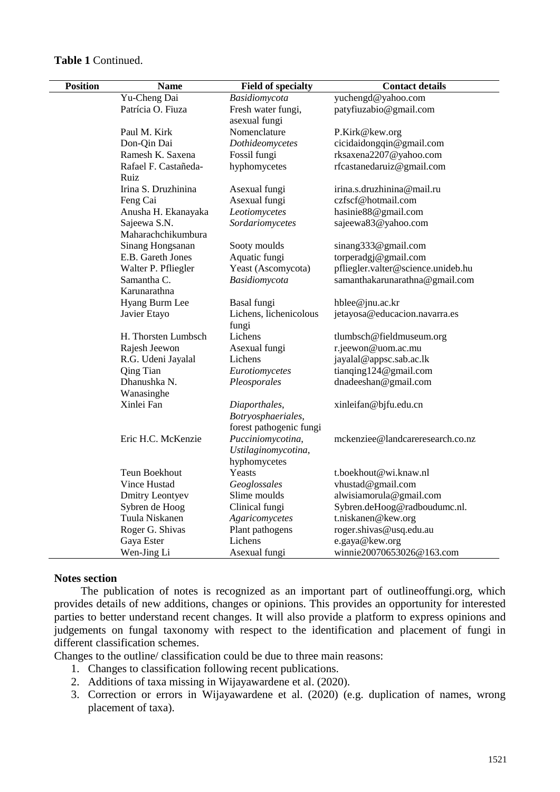| <b>Position</b> | <b>Name</b>            | <b>Field of specialty</b> | <b>Contact details</b>             |  |  |  |
|-----------------|------------------------|---------------------------|------------------------------------|--|--|--|
|                 | Yu-Cheng Dai           | Basidiomycota             | yuchengd@yahoo.com                 |  |  |  |
|                 | Patrícia O. Fiuza      | Fresh water fungi,        | patyfiuzabio@gmail.com             |  |  |  |
|                 |                        | asexual fungi             |                                    |  |  |  |
|                 | Paul M. Kirk           | Nomenclature              | P.Kirk@kew.org                     |  |  |  |
|                 | Don-Qin Dai            | Dothideomycetes           | cicidaidongqin@gmail.com           |  |  |  |
|                 | Ramesh K. Saxena       | Fossil fungi              | rksaxena2207@yahoo.com             |  |  |  |
|                 | Rafael F. Castañeda-   | hyphomycetes              | rfcastanedaruiz@gmail.com          |  |  |  |
|                 | Ruiz                   |                           |                                    |  |  |  |
|                 | Irina S. Druzhinina    | Asexual fungi             | irina.s.druzhinina@mail.ru         |  |  |  |
|                 | Feng Cai               | Asexual fungi             | czfscf@hotmail.com                 |  |  |  |
|                 | Anusha H. Ekanayaka    | Leotiomycetes             | hasinie88@gmail.com                |  |  |  |
|                 | Sajeewa S.N.           | Sordariomycetes           | sajeewa83@yahoo.com                |  |  |  |
|                 | Maharachchikumbura     |                           |                                    |  |  |  |
|                 | Sinang Hongsanan       | Sooty moulds              | sinang333@gmail.com                |  |  |  |
|                 | E.B. Gareth Jones      | Aquatic fungi             | torperadgj@gmail.com               |  |  |  |
|                 | Walter P. Pfliegler    | Yeast (Ascomycota)        | pfliegler.valter@science.unideb.hu |  |  |  |
|                 | Samantha C.            | Basidiomycota             | samanthakarunarathna@gmail.com     |  |  |  |
|                 | Karunarathna           |                           |                                    |  |  |  |
|                 | Hyang Burm Lee         | Basal fungi               | hblee@jnu.ac.kr                    |  |  |  |
|                 | Javier Etayo           | Lichens, lichenicolous    | jetayosa@educacion.navarra.es      |  |  |  |
|                 |                        | fungi                     |                                    |  |  |  |
|                 | H. Thorsten Lumbsch    | Lichens                   | tlumbsch@fieldmuseum.org           |  |  |  |
|                 | Rajesh Jeewon          | Asexual fungi             | r.jeewon@uom.ac.mu                 |  |  |  |
|                 | R.G. Udeni Jayalal     | Lichens                   | jayalal@appsc.sab.ac.lk            |  |  |  |
|                 | Qing Tian              | Eurotiomycetes            | tianqing124@gmail.com              |  |  |  |
|                 | Dhanushka N.           | Pleosporales              | dnadeeshan@gmail.com               |  |  |  |
|                 | Wanasinghe             |                           |                                    |  |  |  |
|                 | Xinlei Fan             | Diaporthales,             | xinleifan@bjfu.edu.cn              |  |  |  |
|                 |                        | Botryosphaeriales,        |                                    |  |  |  |
|                 |                        | forest pathogenic fungi   |                                    |  |  |  |
|                 | Eric H.C. McKenzie     | Pucciniomycotina,         | mckenziee@landcareresearch.co.nz   |  |  |  |
|                 |                        | Ustilaginomycotina,       |                                    |  |  |  |
|                 |                        | hyphomycetes              |                                    |  |  |  |
|                 | Teun Boekhout          | Yeasts                    | t.boekhout@wi.knaw.nl              |  |  |  |
|                 | Vince Hustad           | Geoglossales              | vhustad@gmail.com                  |  |  |  |
|                 | <b>Dmitry Leontyev</b> | Slime moulds              | alwisiamorula@gmail.com            |  |  |  |
|                 | Sybren de Hoog         | Clinical fungi            | Sybren.deHoog@radboudumc.nl.       |  |  |  |
|                 | Tuula Niskanen         | Agaricomycetes            | t.niskanen@kew.org                 |  |  |  |
|                 | Roger G. Shivas        | Plant pathogens           | roger.shivas@usq.edu.au            |  |  |  |
|                 | Gaya Ester             | Lichens                   | e.gaya@kew.org                     |  |  |  |
|                 | Wen-Jing Li            | Asexual fungi             | winnie20070653026@163.com          |  |  |  |

#### **Notes section**

The publication of notes is recognized as an important part of outlineoffungi.org, which provides details of new additions, changes or opinions. This provides an opportunity for interested parties to better understand recent changes. It will also provide a platform to express opinions and judgements on fungal taxonomy with respect to the identification and placement of fungi in different classification schemes.

Changes to the outline/ classification could be due to three main reasons:

- 1. Changes to classification following recent publications.
- 2. Additions of taxa missing in Wijayawardene et al. (2020).
- 3. Correction or errors in Wijayawardene et al. (2020) (e.g. duplication of names, wrong placement of taxa).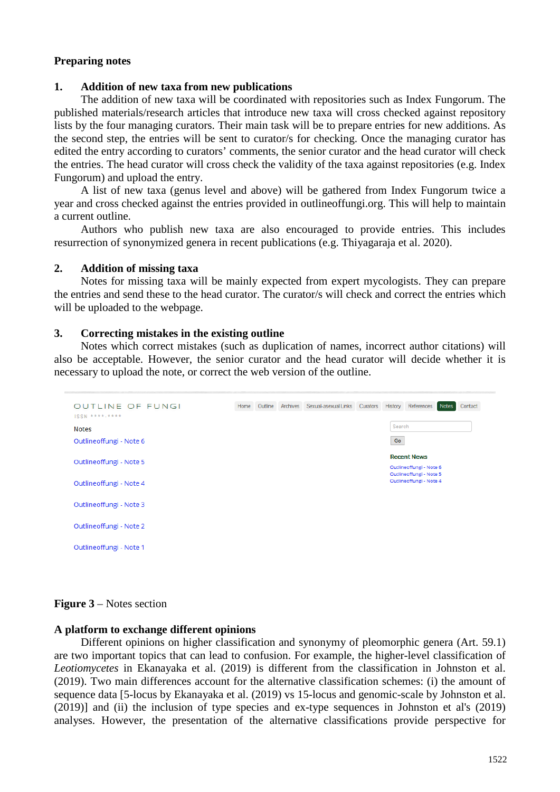## **Preparing notes**

#### **1. Addition of new taxa from new publications**

The addition of new taxa will be coordinated with repositories such as Index Fungorum. The published materials/research articles that introduce new taxa will cross checked against repository lists by the four managing curators. Their main task will be to prepare entries for new additions. As the second step, the entries will be sent to curator/s for checking. Once the managing curator has edited the entry according to curators' comments, the senior curator and the head curator will check the entries. The head curator will cross check the validity of the taxa against repositories (e.g. Index Fungorum) and upload the entry.

A list of new taxa (genus level and above) will be gathered from Index Fungorum twice a year and cross checked against the entries provided in outlineoffungi.org. This will help to maintain a current outline.

Authors who publish new taxa are also encouraged to provide entries. This includes resurrection of synonymized genera in recent publications (e.g. Thiyagaraja et al. 2020).

#### **2. Addition of missing taxa**

Notes for missing taxa will be mainly expected from expert mycologists. They can prepare the entries and send these to the head curator. The curator/s will check and correct the entries which will be uploaded to the webpage.

#### **3. Correcting mistakes in the existing outline**

Notes which correct mistakes (such as duplication of names, incorrect author citations) will also be acceptable. However, the senior curator and the head curator will decide whether it is necessary to upload the note, or correct the web version of the outline.



#### **Figure 3** – Notes section

#### **A platform to exchange different opinions**

Different opinions on higher classification and synonymy of pleomorphic genera (Art. 59.1) are two important topics that can lead to confusion. For example, the higher-level classification of *Leotiomycetes* in Ekanayaka et al. (2019) is different from the classification in Johnston et al. (2019). Two main differences account for the alternative classification schemes: (i) the amount of sequence data [5-locus by Ekanayaka et al. (2019) vs 15-locus and genomic-scale by Johnston et al. (2019)] and (ii) the inclusion of type species and ex-type sequences in Johnston et al's (2019) analyses. However, the presentation of the alternative classifications provide perspective for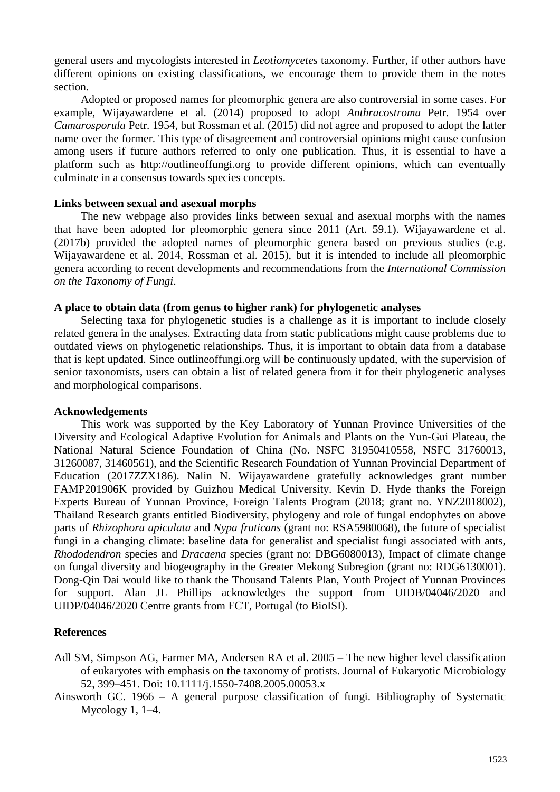general users and mycologists interested in *Leotiomycetes* taxonomy. Further, if other authors have different opinions on existing classifications, we encourage them to provide them in the notes section.

Adopted or proposed names for pleomorphic genera are also controversial in some cases. For example, Wijayawardene et al. (2014) proposed to adopt *Anthracostroma* Petr. 1954 over *Camarosporula* Petr. 1954, but Rossman et al. (2015) did not agree and proposed to adopt the latter name over the former. This type of disagreement and controversial opinions might cause confusion among users if future authors referred to only one publication. Thus, it is essential to have a platform such as http://outlineoffungi.org to provide different opinions, which can eventually culminate in a consensus towards species concepts.

#### **Links between sexual and asexual morphs**

The new webpage also provides links between sexual and asexual morphs with the names that have been adopted for pleomorphic genera since 2011 (Art. 59.1). Wijayawardene et al. (2017b) provided the adopted names of pleomorphic genera based on previous studies (e.g. Wijayawardene et al. 2014, Rossman et al. 2015), but it is intended to include all pleomorphic genera according to recent developments and recommendations from the *International Commission on the Taxonomy of Fungi*.

## **A place to obtain data (from genus to higher rank) for phylogenetic analyses**

Selecting taxa for phylogenetic studies is a challenge as it is important to include closely related genera in the analyses. Extracting data from static publications might cause problems due to outdated views on phylogenetic relationships. Thus, it is important to obtain data from a database that is kept updated. Since outlineoffungi.org will be continuously updated, with the supervision of senior taxonomists, users can obtain a list of related genera from it for their phylogenetic analyses and morphological comparisons.

## **Acknowledgements**

This work was supported by the Key Laboratory of Yunnan Province Universities of the Diversity and Ecological Adaptive Evolution for Animals and Plants on the Yun-Gui Plateau, the National Natural Science Foundation of China (No. NSFC 31950410558, NSFC 31760013, 31260087, 31460561), and the Scientific Research Foundation of Yunnan Provincial Department of Education (2017ZZX186). Nalin N. Wijayawardene gratefully acknowledges grant number FAMP201906K provided by Guizhou Medical University. Kevin D. Hyde thanks the Foreign Experts Bureau of Yunnan Province, Foreign Talents Program (2018; grant no. YNZ2018002), Thailand Research grants entitled Biodiversity, phylogeny and role of fungal endophytes on above parts of *Rhizophora apiculata* and *Nypa fruticans* (grant no: RSA5980068), the future of specialist fungi in a changing climate: baseline data for generalist and specialist fungi associated with ants, *Rhododendron* species and *Dracaena* species (grant no: DBG6080013), Impact of climate change on fungal diversity and biogeography in the Greater Mekong Subregion (grant no: RDG6130001). Dong-Qin Dai would like to thank the Thousand Talents Plan, Youth Project of Yunnan Provinces for support. Alan JL Phillips acknowledges the support from UIDB/04046/2020 and UIDP/04046/2020 Centre grants from FCT, Portugal (to BioISI).

## **References**

- Adl SM, Simpson AG, Farmer MA, Andersen RA et al. 2005 The new higher level classification of eukaryotes with emphasis on the taxonomy of protists. Journal of Eukaryotic Microbiology 52, 399–451. Doi: 10.1111/j.1550-7408.2005.00053.x
- Ainsworth GC. 1966 A general purpose classification of fungi. Bibliography of Systematic Mycology 1, 1–4.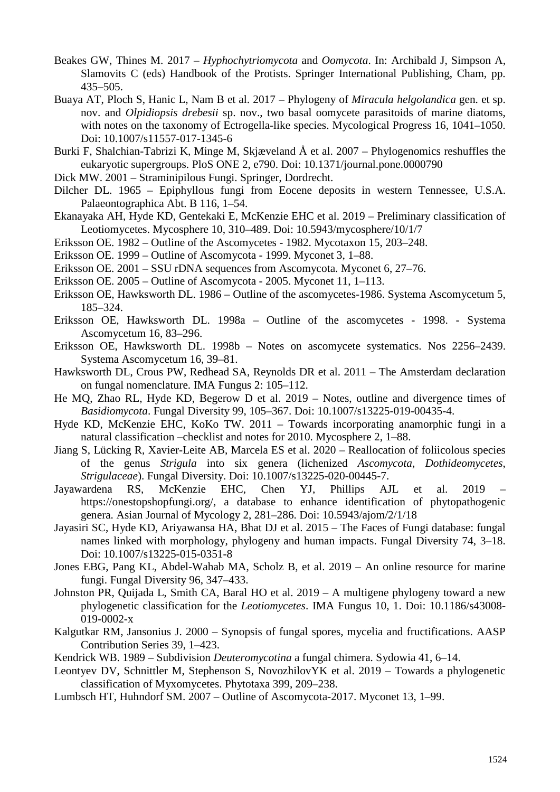- Beakes GW, Thines M. 2017 *Hyphochytriomycota* and *Oomycota*. In: Archibald J, Simpson A, Slamovits C (eds) Handbook of the Protists. Springer International Publishing, Cham, pp. 435–505.
- Buaya AT, Ploch S, Hanic L, Nam B et al. 2017 Phylogeny of *Miracula helgolandica* gen. et sp. nov. and *Olpidiopsis drebesii* sp. nov., two basal oomycete parasitoids of marine diatoms, with notes on the taxonomy of Ectrogella-like species. Mycological Progress 16, 1041–1050. Doi: 10.1007/s11557-017-1345-6
- Burki F, Shalchian-Tabrizi K, Minge M, Skjæveland Å et al. 2007 Phylogenomics reshuffles the eukaryotic supergroups. PloS ONE 2, e790. Doi: 10.1371/journal.pone.0000790
- Dick MW. 2001 Straminipilous Fungi. Springer, Dordrecht.
- Dilcher DL. 1965 Epiphyllous fungi from Eocene deposits in western Tennessee, U.S.A. Palaeontographica Abt. B 116, 1–54.
- Ekanayaka AH, Hyde KD, Gentekaki E, McKenzie EHC et al. 2019 Preliminary classification of Leotiomycetes. Mycosphere 10, 310–489. Doi: 10.5943/mycosphere/10/1/7
- Eriksson OE. 1982 Outline of the Ascomycetes 1982. Mycotaxon 15, 203–248.
- Eriksson OE. 1999 Outline of Ascomycota 1999. Myconet 3, 1–88.
- Eriksson OE. 2001 SSU rDNA sequences from Ascomycota. Myconet 6, 27–76.
- Eriksson OE. 2005 Outline of Ascomycota 2005. Myconet 11, 1–113.
- Eriksson OE, Hawksworth DL. 1986 Outline of the ascomycetes-1986. Systema Ascomycetum 5, 185–324.
- Eriksson OE, Hawksworth DL. 1998a Outline of the ascomycetes 1998. Systema Ascomycetum 16, 83–296.
- Eriksson OE, Hawksworth DL. 1998b Notes on ascomycete systematics. Nos 2256–2439. Systema Ascomycetum 16, 39–81.
- Hawksworth DL, Crous PW, Redhead SA, Reynolds DR et al. 2011 The Amsterdam declaration on fungal nomenclature. IMA Fungus 2: 105–112.
- He MQ, Zhao RL, Hyde KD, Begerow D et al. 2019 Notes, outline and divergence times of *Basidiomycota*. Fungal Diversity 99, 105–367. Doi: 10.1007/s13225-019-00435-4.
- Hyde KD, McKenzie EHC, KoKo TW. 2011 Towards incorporating anamorphic fungi in a natural classification –checklist and notes for 2010. Mycosphere 2, 1–88.
- Jiang S, Lücking R, Xavier-Leite AB, Marcela ES et al. 2020 Reallocation of foliicolous species of the genus *Strigula* into six genera (lichenized *Ascomycota*, *Dothideomycetes*, *Strigulaceae*). Fungal Diversity. Doi: 10.1007/s13225-020-00445-7.
- Jayawardena RS, McKenzie EHC, Chen YJ, Phillips AJL et al. 2019 https://onestopshopfungi.org/, a database to enhance identification of phytopathogenic genera. Asian Journal of Mycology 2, 281–286. Doi: 10.5943/ajom/2/1/18
- Jayasiri SC, Hyde KD, Ariyawansa HA, Bhat DJ et al. 2015 The Faces of Fungi database: fungal names linked with morphology, phylogeny and human impacts. Fungal Diversity 74, 3–18. Doi: 10.1007/s13225-015-0351-8
- Jones EBG, Pang KL, Abdel-Wahab MA, Scholz B, et al. 2019 An online resource for marine fungi. Fungal Diversity 96, 347–433.
- Johnston PR, Quijada L, Smith CA, Baral HO et al. 2019 A multigene phylogeny toward a new phylogenetic classification for the *Leotiomycetes*. IMA Fungus 10, 1. Doi: 10.1186/s43008- 019-0002-x
- Kalgutkar RM, Jansonius J. 2000 Synopsis of fungal spores, mycelia and fructifications. AASP Contribution Series 39, 1–423.
- Kendrick WB. 1989 Subdivision *Deuteromycotina* a fungal chimera. Sydowia 41, 6–14.
- Leontyev DV, Schnittler M, Stephenson S, NovozhilovYK et al. 2019 Towards a phylogenetic classification of Myxomycetes. Phytotaxa 399, 209–238.
- Lumbsch HT, Huhndorf SM. 2007 Outline of Ascomycota-2017. Myconet 13, 1–99.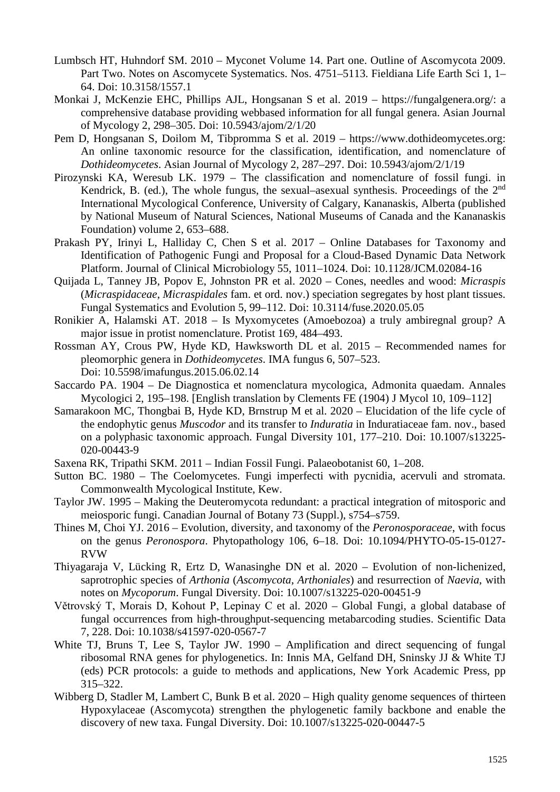- Lumbsch HT, Huhndorf SM. 2010 Myconet Volume 14. Part one. Outline of Ascomycota 2009. Part Two. Notes on Ascomycete Systematics. Nos. 4751–5113. Fieldiana Life Earth Sci 1, 1– 64. Doi: 10.3158/1557.1
- Monkai J, McKenzie EHC, Phillips AJL, Hongsanan S et al. 2019 https://fungalgenera.org/: a comprehensive database providing webbased information for all fungal genera. Asian Journal of Mycology 2, 298–305. Doi: 10.5943/ajom/2/1/20
- Pem D, Hongsanan S, Doilom M, Tibpromma S et al. 2019 https://www.dothideomycetes.org: An online taxonomic resource for the classification, identification, and nomenclature of *Dothideomycetes*. Asian Journal of Mycology 2, 287–297. Doi: 10.5943/ajom/2/1/19
- Pirozynski KA, Weresub LK. 1979 The classification and nomenclature of fossil fungi. in Kendrick, B. (ed.), The whole fungus, the sexual–asexual synthesis. Proceedings of the  $2<sup>nd</sup>$ International Mycological Conference, University of Calgary, Kananaskis, Alberta (published by National Museum of Natural Sciences, National Museums of Canada and the Kananaskis Foundation) volume 2, 653–688.
- Prakash PY, Irinyi L, Halliday C, Chen S et al. 2017 Online Databases for Taxonomy and Identification of Pathogenic Fungi and Proposal for a Cloud-Based Dynamic Data Network Platform. Journal of Clinical Microbiology 55, 1011–1024. Doi: 10.1128/JCM.02084-16
- Quijada L, Tanney JB, Popov E, Johnston PR et al. 2020 Cones, needles and wood: *Micraspis* (*Micraspidaceae*, *Micraspidales* fam. et ord. nov.) speciation segregates by host plant tissues. Fungal Systematics and Evolution 5, 99–112. Doi: 10.3114/fuse.2020.05.05
- Ronikier A, Halamski AT. 2018 Is Myxomycetes (Amoebozoa) a truly ambiregnal group? A major issue in protist nomenclature. Protist 169, 484–493.
- Rossman AY, Crous PW, Hyde KD, Hawksworth DL et al. 2015 Recommended names for pleomorphic genera in *Dothideomycetes*. IMA fungus 6, 507–523. Doi: 10.5598/imafungus.2015.06.02.14
- Saccardo PA. 1904 De Diagnostica et nomenclatura mycologica, Admonita quaedam. Annales Mycologici 2, 195–198. [English translation by Clements FE (1904) J Mycol 10, 109–112]
- Samarakoon MC, Thongbai B, Hyde KD, Brnstrup M et al. 2020 Elucidation of the life cycle of the endophytic genus *Muscodor* and its transfer to *Induratia* in Induratiaceae fam. nov., based on a polyphasic taxonomic approach. Fungal Diversity 101, 177–210. Doi: 10.1007/s13225- 020-00443-9
- Saxena RK, Tripathi SKM. 2011 Indian Fossil Fungi. Palaeobotanist 60, 1–208.
- Sutton BC. 1980 The Coelomycetes. Fungi imperfecti with pycnidia, acervuli and stromata. Commonwealth Mycological Institute, Kew.
- Taylor JW. 1995 Making the Deuteromycota redundant: a practical integration of mitosporic and meiosporic fungi. Canadian Journal of Botany 73 (Suppl.), s754–s759.
- Thines M, Choi YJ. 2016 Evolution, diversity, and taxonomy of the *Peronosporaceae*, with focus on the genus *Peronospora*. Phytopathology 106, 6–18. Doi: 10.1094/PHYTO-05-15-0127- RVW
- Thiyagaraja V, Lücking R, Ertz D, Wanasinghe DN et al. 2020 Evolution of non-lichenized, saprotrophic species of *Arthonia* (*Ascomycota*, *Arthoniales*) and resurrection of *Naevia*, with notes on *Mycoporum*. Fungal Diversity. Doi: 10.1007/s13225-020-00451-9
- Větrovský T, Morais D, Kohout P, Lepinay C et al. 2020 Global Fungi, a global database of fungal occurrences from high-throughput-sequencing metabarcoding studies. Scientific Data 7, 228. Doi: 10.1038/s41597-020-0567-7
- White TJ, Bruns T, Lee S, Taylor JW. 1990 Amplification and direct sequencing of fungal ribosomal RNA genes for phylogenetics. In: Innis MA, Gelfand DH, Sninsky JJ & White TJ (eds) PCR protocols: a guide to methods and applications, New York Academic Press, pp 315–322.
- Wibberg D, Stadler M, Lambert C, Bunk B et al. 2020 High quality genome sequences of thirteen Hypoxylaceae (Ascomycota) strengthen the phylogenetic family backbone and enable the discovery of new taxa. Fungal Diversity. Doi: 10.1007/s13225-020-00447-5